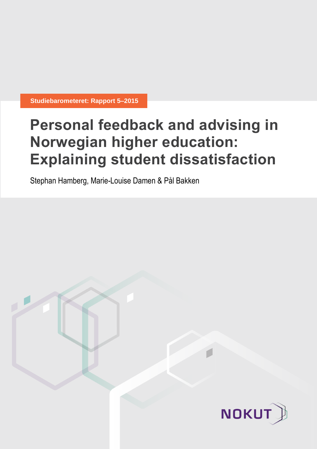**Studiebarometeret: Rapport 5–2015**

# **Personal feedback and advising in Norwegian higher education: Explaining student dissatisfaction**

Stephan Hamberg, Marie-Louise Damen & Pål Bakken

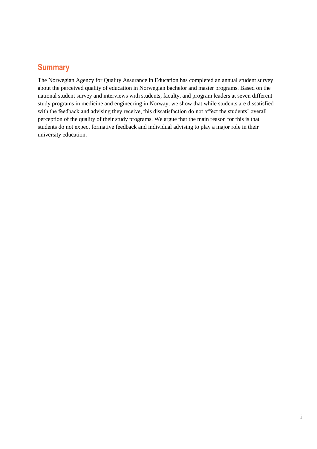## **Summary**

The Norwegian Agency for Quality Assurance in Education has completed an annual student survey about the perceived quality of education in Norwegian bachelor and master programs. Based on the national student survey and interviews with students, faculty, and program leaders at seven different study programs in medicine and engineering in Norway, we show that while students are dissatisfied with the feedback and advising they receive, this dissatisfaction do not affect the students' overall perception of the quality of their study programs. We argue that the main reason for this is that students do not expect formative feedback and individual advising to play a major role in their university education.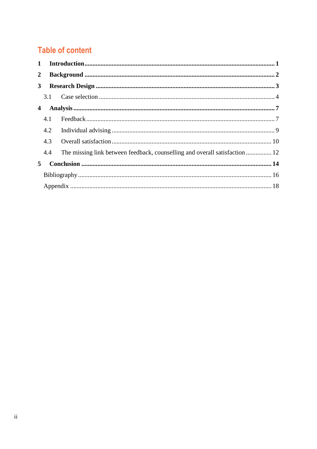# **Table of content**

| $\mathbf{1}$   |     |                                                                             |  |
|----------------|-----|-----------------------------------------------------------------------------|--|
| $\overline{2}$ |     |                                                                             |  |
| 3 <sup>1</sup> |     |                                                                             |  |
|                |     |                                                                             |  |
| 4              |     |                                                                             |  |
|                | 4.1 |                                                                             |  |
|                | 4.2 |                                                                             |  |
|                | 4.3 |                                                                             |  |
|                | 4.4 | The missing link between feedback, counselling and overall satisfaction  12 |  |
| 5              |     |                                                                             |  |
|                |     |                                                                             |  |
|                |     |                                                                             |  |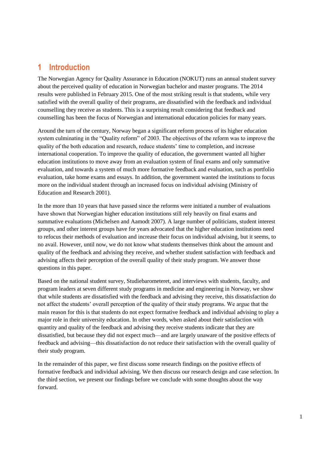## <span id="page-3-0"></span>**1 Introduction**

The Norwegian Agency for Quality Assurance in Education (NOKUT) runs an annual student survey about the perceived quality of education in Norwegian bachelor and master programs. The 2014 results were published in February 2015. One of the most striking result is that students, while very satisfied with the overall quality of their programs, are dissatisfied with the feedback and individual counselling they receive as students. This is a surprising result considering that feedback and counselling has been the focus of Norwegian and international education policies for many years.

Around the turn of the century, Norway began a significant reform process of its higher education system culminating in the "Quality reform" of 2003. The objectives of the reform was to improve the quality of the both education and research, reduce students' time to completion, and increase international cooperation. To improve the quality of education, the government wanted all higher education institutions to move away from an evaluation system of final exams and only summative evaluation, and towards a system of much more formative feedback and evaluation, such as portfolio evaluation, take home exams and essays. In addition, the government wanted the institutions to focus more on the individual student through an increased focus on individual advising (Ministry of Education and Research 2001).

In the more than 10 years that have passed since the reforms were initiated a number of evaluations have shown that Norwegian higher education institutions still rely heavily on final exams and summative evaluations (Michelsen and Aamodt 2007). A large number of politicians, student interest groups, and other interest groups have for years advocated that the higher education institutions need to refocus their methods of evaluation and increase their focus on individual advising, but it seems, to no avail. However, until now, we do not know what students themselves think about the amount and quality of the feedback and advising they receive, and whether student satisfaction with feedback and advising affects their perception of the overall quality of their study program. We answer those questions in this paper.

Based on the national student survey, Studiebarometeret, and interviews with students, faculty, and program leaders at seven different study programs in medicine and engineering in Norway, we show that while students are dissatisfied with the feedback and advising they receive, this dissatisfaction do not affect the students' overall perception of the quality of their study programs. We argue that the main reason for this is that students do not expect formative feedback and individual advising to play a major role in their university education. In other words, when asked about their satisfaction with quantity and quality of the feedback and advising they receive students indicate that they are dissatisfied, but because they did not expect much—and are largely unaware of the positive effects of feedback and advising—this dissatisfaction do not reduce their satisfaction with the overall quality of their study program.

In the remainder of this paper, we first discuss some research findings on the positive effects of formative feedback and individual advising. We then discuss our research design and case selection. In the third section, we present our findings before we conclude with some thoughts about the way forward.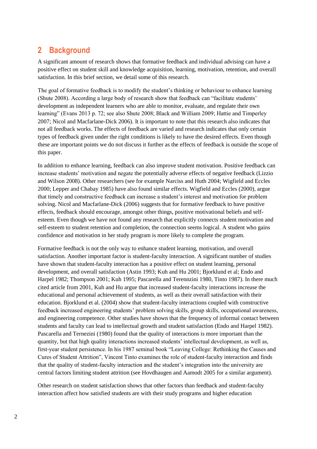## <span id="page-4-0"></span>**2 Background**

A significant amount of research shows that formative feedback and individual advising can have a positive effect on student skill and knowledge acquisition, learning, motivation, retention, and overall satisfaction. In this brief section, we detail some of this research.

The goal of formative feedback is to modify the student's thinking or behaviour to enhance learning (Shute 2008). According a large body of research show that feedback can "facilitate students' development as independent learners who are able to monitor, evaluate, and regulate their own learning" (Evans 2013 p. 72; see also Shute 2008; Black and William 2009; Hattie and Timperley 2007; Nicol and Macfarlane-Dick 2006). It is important to note that this research also indicates that not all feedback works. The effects of feedback are varied and research indicates that only certain types of feedback given under the right conditions is likely to have the desired effects. Even though these are important points we do not discuss it further as the effects of feedback is outside the scope of this paper.

In addition to enhance learning, feedback can also improve student motivation. Positive feedback can increase students' motivation and negate the potentially adverse effects of negative feedback (Lizzio and Wilson 2008). Other researchers (see for example Narciss and Huth 2004; Wigfield and Eccles 2000; Lepper and Chabay 1985) have also found similar effects. Wigfield and Eccles (2000), argue that timely and constructive feedback can increase a student's interest and motivation for problem solving. Nicol and Macfarlane-Dick (2006) suggests that for formative feedback to have positive effects, feedback should encourage, amongst other things, positive motivational beliefs and selfesteem. Even though we have not found any research that explicitly connects student motivation and self-esteem to student retention and completion, the connection seems logical. A student who gains confidence and motivation in her study program is more likely to complete the program.

Formative feedback is not the only way to enhance student learning, motivation, and overall satisfaction. Another important factor is student-faculty interaction. A significant number of studies have shown that student-faculty interaction has a positive effect on student learning, personal development, and overall satisfaction (Astin 1993; Kuh and Hu 2001; Bjorklund et al; Endo and Harpel 1982; Thompson 2001; Kuh 1995; Pascarella and Terennzini 1980, Tinto 1987). In there much cited article from 2001, Kuh and Hu argue that increased student-faculty interactions increase the educational and personal achievement of students, as well as their overall satisfaction with their education. Bjorklund et al. (2004) show that student-faculty interactions coupled with constructive feedback increased engineering students' problem solving skills, group skills, occupational awareness, and engineering competence. Other studies have shown that the frequency of informal contact between students and faculty can lead to intellectual growth and student satisfaction (Endo and Harpel 1982). Pascarella and Ternezini (1980) found that the quality of interactions is more important than the quantity, but that high quality interactions increased students' intellectual development, as well as, first-year student persistence. In his 1987 seminal book "Leaving College: Rethinking the Causes and Cures of Student Attrition", Vincent Tinto examines the role of student-faculty interaction and finds that the quality of student-faculty interaction and the student's integration into the university are central factors limiting student attrition (see Hovdhaugen and Aamodt 2005 for a similar argument).

Other research on student satisfaction shows that other factors than feedback and student-faculty interaction affect how satisfied students are with their study programs and higher education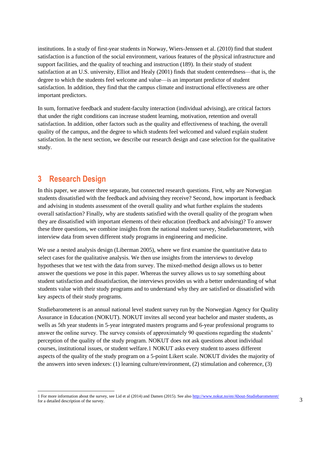institutions. In a study of first-year students in Norway, Wiers-Jenssen et al. (2010) find that student satisfaction is a function of the social environment, various features of the physical infrastructure and support facilities, and the quality of teaching and instruction (189). In their study of student satisfaction at an U.S. university, Elliot and Healy (2001) finds that student centeredness—that is, the degree to which the students feel welcome and value—is an important predictor of student satisfaction. In addition, they find that the campus climate and instructional effectiveness are other important predictors.

In sum, formative feedback and student-faculty interaction (individual advising), are critical factors that under the right conditions can increase student learning, motivation, retention and overall satisfaction. In addition, other factors such as the quality and effectiveness of teaching, the overall quality of the campus, and the degree to which students feel welcomed and valued explain student satisfaction. In the next section, we describe our research design and case selection for the qualitative study.

## <span id="page-5-0"></span>**3 Research Design**

l

In this paper, we answer three separate, but connected research questions. First, why are Norwegian students dissatisfied with the feedback and advising they receive? Second, how important is feedback and advising in students assessment of the overall quality and what further explains the students overall satisfaction? Finally, why are students satisfied with the overall quality of the program when they are dissatisfied with important elements of their education (feedback and advising)? To answer these three questions, we combine insights from the national student survey, Studiebarometeret, with interview data from seven different study programs in engineering and medicine.

We use a nested analysis design (Liberman 2005), where we first examine the quantitative data to select cases for the qualitative analysis. We then use insights from the interviews to develop hypotheses that we test with the data from survey. The mixed-method design allows us to better answer the questions we pose in this paper. Whereas the survey allows us to say something about student satisfaction and dissatisfaction, the interviews provides us with a better understanding of what students value with their study programs and to understand why they are satisfied or dissatisfied with key aspects of their study programs.

Studiebarometeret is an annual national level student survey run by the Norwegian Agency for Quality Assurance in Education (NOKUT). NOKUT invites all second year bachelor and master students, as wells as 5th year students in 5-year integrated masters programs and 6-year professional programs to answer the online survey. The survey consists of approximately 90 questions regarding the students' perception of the quality of the study program. NOKUT does not ask questions about individual courses, institutional issues, or student welfare.1 NOKUT asks every student to assess different aspects of the quality of the study program on a 5-point Likert scale. NOKUT divides the majority of the answers into seven indexes: (1) learning culture/environment, (2) stimulation and coherence, (3)

<sup>1</sup> For more information about the survey, see Lid et al (2014) and Damen (2015). See als[o http://www.nokut.no/en/About-Studiebarometeret/](http://www.nokut.no/en/About-Studiebarometeret/) for a detailed description of the survey.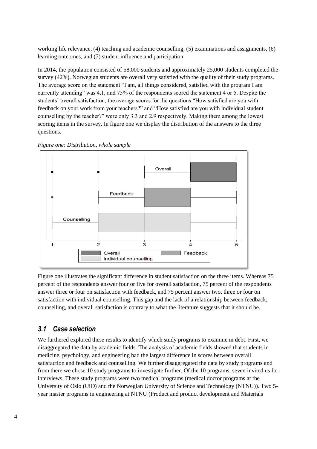working life relevance, (4) teaching and academic counselling, (5) examinations and assignments, (6) learning outcomes, and (7) student influence and participation.

In 2014, the population consisted of 58,000 students and approximately 25,000 students completed the survey (42%). Norwegian students are overall very satisfied with the quality of their study programs. The average score on the statement "I am, all things considered, satisfied with the program I am currently attending" was 4.1, and 75% of the respondents scored the statement 4 or 5. Despite the students' overall satisfaction, the average scores for the questions "How satisfied are you with feedback on your work from your teachers?" and "How satisfied are you with individual student counselling by the teacher?" were only 3.3 and 2.9 respectively. Making them among the lowest scoring items in the survey. In figure one we display the distribution of the answers to the three questions.



*Figure one: Distribution, whole sample*

Figure one illustrates the significant difference in student satisfaction on the three items. Whereas 75 percent of the respondents answer four or five for overall satisfaction, 75 percent of the respondents answer three or four on satisfaction with feedback, and 75 percent answer two, three or four on satisfaction with individual counselling. This gap and the lack of a relationship between feedback, counselling, and overall satisfaction is contrary to what the literature suggests that it should be.

## <span id="page-6-0"></span>*3.1 Case selection*

We furthered explored these results to identify which study programs to examine in debt. First, we disaggregated the data by academic fields. The analysis of academic fields showed that students in medicine, psychology, and engineering had the largest difference in scores between overall satisfaction and feedback and counselling. We further disaggregated the data by study programs and from there we chose 10 study programs to investigate further. Of the 10 programs, seven invited us for interviews. These study programs were two medical programs (medical doctor programs at the University of Oslo (UiO) and the Norwegian University of Science and Technology (NTNU)). Two 5 year master programs in engineering at NTNU (Product and product development and Materials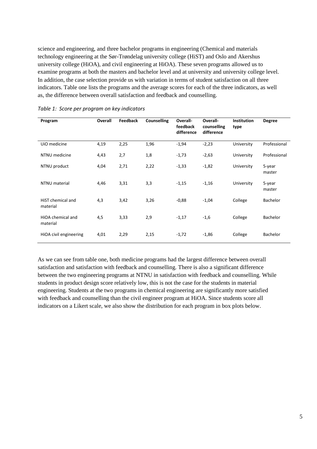science and engineering, and three bachelor programs in engineering (Chemical and materials technology engineering at the Sør-Trøndelag university college (HiST) and Oslo and Akershus university college (HiOA), and civil engineering at HiOA). These seven programs allowed us to examine programs at both the masters and bachelor level and at university and university college level. In addition, the case selection provide us with variation in terms of student satisfaction on all three indicators. Table one lists the programs and the average scores for each of the three indicators, as well as, the difference between overall satisfaction and feedback and counselling.

| Program                       | Overall | <b>Feedback</b> | Counselling | Overall-<br>feedback<br>difference | Overall-<br>counselling<br>difference | <b>Institution</b><br>type | <b>Degree</b>    |
|-------------------------------|---------|-----------------|-------------|------------------------------------|---------------------------------------|----------------------------|------------------|
| UiO medicine                  | 4,19    | 2,25            | 1,96        | $-1,94$                            | $-2,23$                               | University                 | Professional     |
| NTNU medicine                 | 4,43    | 2,7             | 1,8         | $-1,73$                            | $-2,63$                               | University                 | Professional     |
| NTNU product                  | 4,04    | 2,71            | 2,22        | $-1,33$                            | $-1,82$                               | University                 | 5-year<br>master |
| NTNU material                 | 4,46    | 3,31            | 3,3         | $-1,15$                            | $-1,16$                               | University                 | 5-year<br>master |
| HiST chemical and<br>material | 4,3     | 3,42            | 3,26        | $-0,88$                            | $-1,04$                               | College                    | Bachelor         |
| HiOA chemical and<br>material | 4,5     | 3,33            | 2,9         | $-1,17$                            | $-1,6$                                | College                    | Bachelor         |
| HiOA civil engineering        | 4,01    | 2,29            | 2,15        | $-1,72$                            | $-1,86$                               | College                    | <b>Bachelor</b>  |

*Table 1: Score per program on key indicators*

As we can see from table one, both medicine programs had the largest difference between overall satisfaction and satisfaction with feedback and counselling. There is also a significant difference between the two engineering programs at NTNU in satisfaction with feedback and counselling. While students in product design score relatively low, this is not the case for the students in material engineering. Students at the two programs in chemical engineering are significantly more satisfied with feedback and counselling than the civil engineer program at HiOA. Since students score all indicators on a Likert scale, we also show the distribution for each program in box plots below.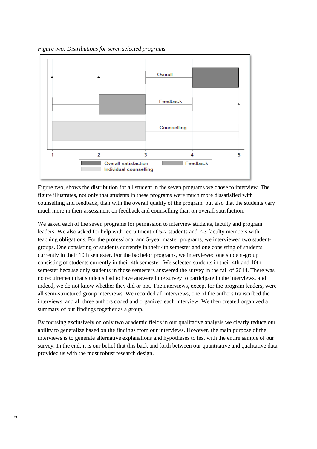*Figure two: Distributions for seven selected programs*



Figure two, shows the distribution for all student in the seven programs we chose to interview. The figure illustrates, not only that students in these programs were much more dissatisfied with counselling and feedback, than with the overall quality of the program, but also that the students vary much more in their assessment on feedback and counselling than on overall satisfaction.

We asked each of the seven programs for permission to interview students, faculty and program leaders. We also asked for help with recruitment of 5-7 students and 2-3 faculty members with teaching obligations. For the professional and 5-year master programs, we interviewed two studentgroups. One consisting of students currently in their 4th semester and one consisting of students currently in their 10th semester. For the bachelor programs, we interviewed one student-group consisting of students currently in their 4th semester. We selected students in their 4th and 10th semester because only students in those semesters answered the survey in the fall of 2014. There was no requirement that students had to have answered the survey to participate in the interviews, and indeed, we do not know whether they did or not. The interviews, except for the program leaders, were all semi-structured group interviews. We recorded all interviews, one of the authors transcribed the interviews, and all three authors coded and organized each interview. We then created organized a summary of our findings together as a group.

By focusing exclusively on only two academic fields in our qualitative analysis we clearly reduce our ability to generalize based on the findings from our interviews. However, the main purpose of the interviews is to generate alternative explanations and hypotheses to test with the entire sample of our survey. In the end, it is our belief that this back and forth between our quantitative and qualitative data provided us with the most robust research design.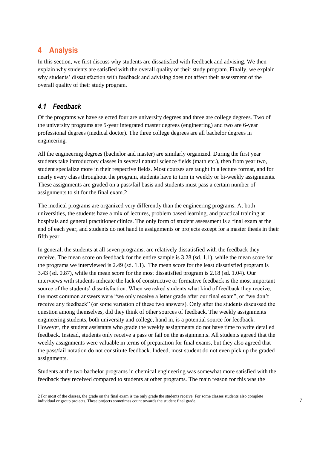## <span id="page-9-0"></span>**4 Analysis**

In this section, we first discuss why students are dissatisfied with feedback and advising. We then explain why students are satisfied with the overall quality of their study program. Finally, we explain why students' dissatisfaction with feedback and advising does not affect their assessment of the overall quality of their study program.

## <span id="page-9-1"></span>*4.1 Feedback*

l

Of the programs we have selected four are university degrees and three are college degrees. Two of the university programs are 5-year integrated master degrees (engineering) and two are 6-year professional degrees (medical doctor). The three college degrees are all bachelor degrees in engineering.

All the engineering degrees (bachelor and master) are similarly organized. During the first year students take introductory classes in several natural science fields (math etc.), then from year two, student specialize more in their respective fields. Most courses are taught in a lecture format, and for nearly every class throughout the program, students have to turn in weekly or bi-weekly assignments. These assignments are graded on a pass/fail basis and students must pass a certain number of assignments to sit for the final exam.2

The medical programs are organized very differently than the engineering programs. At both universities, the students have a mix of lectures, problem based learning, and practical training at hospitals and general practitioner clinics. The only form of student assessment is a final exam at the end of each year, and students do not hand in assignments or projects except for a master thesis in their fifth year.

In general, the students at all seven programs, are relatively dissatisfied with the feedback they receive. The mean score on feedback for the entire sample is 3.28 (sd. 1.1), while the mean score for the programs we interviewed is 2.49 (sd. 1.1). The mean score for the least dissatisfied program is 3.43 (sd. 0.87), while the mean score for the most dissatisfied program is 2.18 (sd. 1.04). Our interviews with students indicate the lack of constructive or formative feedback is the most important source of the students' dissatisfaction. When we asked students what kind of feedback they receive, the most common answers were "we only receive a letter grade after our final exam", or "we don't receive any feedback" (or some variation of these two answers). Only after the students discussed the question among themselves, did they think of other sources of feedback. The weekly assignments engineering students, both university and college, hand in, is a potential source for feedback. However, the student assistants who grade the weekly assignments do not have time to write detailed feedback. Instead, students only receive a pass or fail on the assignments. All students agreed that the weekly assignments were valuable in terms of preparation for final exams, but they also agreed that the pass/fail notation do not constitute feedback. Indeed, most student do not even pick up the graded assignments.

Students at the two bachelor programs in chemical engineering was somewhat more satisfied with the feedback they received compared to students at other programs. The main reason for this was the

<sup>2</sup> For most of the classes, the grade on the final exam is the only grade the students receive. For some classes students also complete individual or group projects. These projects sometimes count towards the student final grade.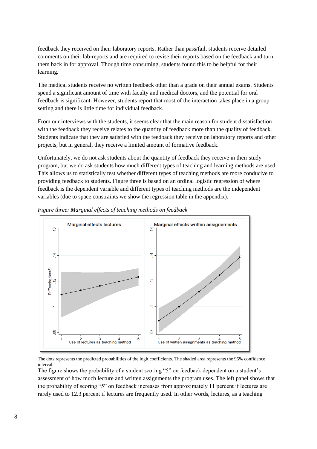feedback they received on their laboratory reports. Rather than pass/fail, students receive detailed comments on their lab-reports and are required to revise their reports based on the feedback and turn them back in for approval. Though time consuming, students found this to be helpful for their learning.

The medical students receive no written feedback other than a grade on their annual exams. Students spend a significant amount of time with faculty and medical doctors, and the potential for oral feedback is significant. However, students report that most of the interaction takes place in a group setting and there is little time for individual feedback.

From our interviews with the students, it seems clear that the main reason for student dissatisfaction with the feedback they receive relates to the quantity of feedback more than the quality of feedback. Students indicate that they are satisfied with the feedback they receive on laboratory reports and other projects, but in general, they receive a limited amount of formative feedback.

Unfortunately, we do not ask students about the quantity of feedback they receive in their study program, but we do ask students how much different types of teaching and learning methods are used. This allows us to statistically test whether different types of teaching methods are more conducive to providing feedback to students. Figure three is based on an ordinal logistic regression of where feedback is the dependent variable and different types of teaching methods are the independent variables (due to space constraints we show the regression table in the appendix).



*Figure three: Marginal effects of teaching methods on feedback*

The dots represents the predicted probabilities of the logit coefficients. The shaded area represents the 95% confidence interval.

The figure shows the probability of a student scoring "5" on feedback dependent on a student's assessment of how much lecture and written assignments the program uses. The left panel shows that the probability of scoring "5" on feedback increases from approximately 11 percent if lectures are rarely used to 12.3 percent if lectures are frequently used. In other words, lectures, as a teaching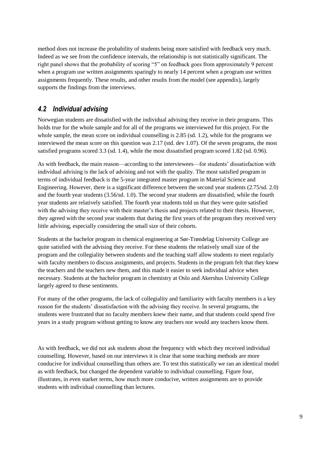method does not increase the probability of students being more satisfied with feedback very much. Indeed as we see from the confidence intervals, the relationship is not statistically significant. The right panel shows that the probability of scoring "5" on feedback goes from approximately 9 percent when a program use written assignments sparingly to nearly 14 percent when a program use written assignments frequently. These results, and other results from the model (see appendix), largely supports the findings from the interviews.

## <span id="page-11-0"></span>*4.2 Individual advising*

Norwegian students are dissatisfied with the individual advising they receive in their programs. This holds true for the whole sample and for all of the programs we interviewed for this project. For the whole sample, the mean score on individual counselling is 2.85 (sd. 1.2), while for the programs we interviewed the mean score on this question was 2.17 (std. dev 1.07). Of the seven programs, the most satisfied programs scored 3.3 (sd. 1.4), while the most dissatisfied program scored 1.82 (sd. 0.96).

As with feedback, the main reason—according to the interviewees—for students' dissatisfaction with individual advising is the lack of advising and not with the quality. The most satisfied program in terms of individual feedback is the 5-year integrated master program in Material Science and Engineering. However, there is a significant difference between the second year students (2.75/sd. 2.0) and the fourth year students (3.56/sd. 1.0). The second year students are dissatisfied, while the fourth year students are relatively satisfied. The fourth year students told us that they were quite satisfied with the advising they receive with their master's thesis and projects related to their thesis. However, they agreed with the second year students that during the first years of the program they received very little advising, especially considering the small size of their cohorts.

Students at the bachelor program in chemical engineering at Sør-Trøndelag University College are quite satisfied with the advising they receive. For these students the relatively small size of the program and the collegiality between students and the teaching staff allow students to meet regularly with faculty members to discuss assignments, and projects. Students in the program felt that they knew the teachers and the teachers new them, and this made it easier to seek individual advice when necessary. Students at the bachelor program in chemistry at Oslo and Akershus University College largely agreed to these sentiments.

For many of the other programs, the lack of collegiality and familiarity with faculty members is a key reason for the students' dissatisfaction with the advising they receive. In several programs, the students were frustrated that no faculty members knew their name, and that students could spend five years in a study program without getting to know any teachers nor would any teachers know them.

As with feedback, we did not ask students about the frequency with which they received individual counselling. However, based on our interviews it is clear that some teaching methods are more conducive for individual counselling than others are. To test this statistically we ran an identical model as with feedback, but changed the dependent variable to individual counselling. Figure four, illustrates, in even starker terms, how much more conducive, written assignments are to provide students with individual counselling than lectures.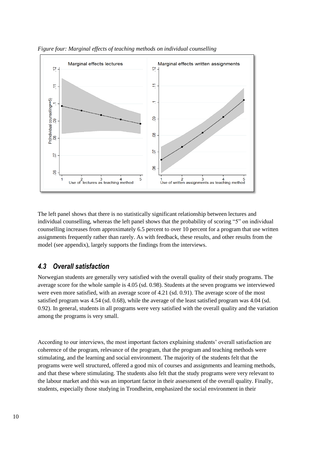

*Figure four: Marginal effects of teaching methods on individual counselling*

The left panel shows that there is no statistically significant relationship between lectures and individual counselling, whereas the left panel shows that the probability of scoring "5" on individual counselling increases from approximately 6.5 percent to over 10 percent for a program that use written assignments frequently rather than rarely. As with feedback, these results, and other results from the model (see appendix), largely supports the findings from the interviews.

### <span id="page-12-0"></span>*4.3 Overall satisfaction*

Norwegian students are generally very satisfied with the overall quality of their study programs. The average score for the whole sample is 4.05 (sd. 0.98). Students at the seven programs we interviewed were even more satisfied, with an average score of 4.21 (sd. 0.91). The average score of the most satisfied program was 4.54 (sd. 0.68), while the average of the least satisfied program was 4.04 (sd. 0.92). In general, students in all programs were very satisfied with the overall quality and the variation among the programs is very small.

According to our interviews, the most important factors explaining students' overall satisfaction are coherence of the program, relevance of the program, that the program and teaching methods were stimulating, and the learning and social environment. The majority of the students felt that the programs were well structured, offered a good mix of courses and assignments and learning methods, and that these where stimulating. The students also felt that the study programs were very relevant to the labour market and this was an important factor in their assessment of the overall quality. Finally, students, especially those studying in Trondheim, emphasized the social environment in their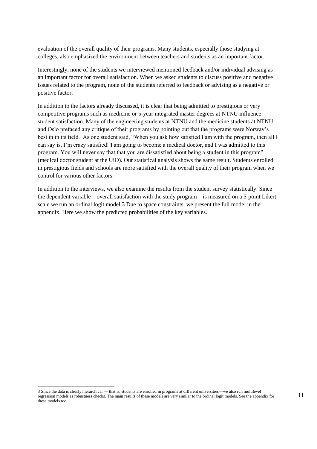evaluation of the overall quality of their programs. Many students, especially those studying at colleges, also emphasized the environment between teachers and students as an important factor.

Interestingly, none of the students we interviewed mentioned feedback and/or individual advising as an important factor for overall satisfaction. When we asked students to discuss positive and negative issues related to the program, none of the students referred to feedback or advising as a negative or positive factor.

In addition to the factors already discussed, it is clear that being admitted to prestigious or very competitive programs such as medicine or 5-year integrated master degrees at NTNU influence student satisfaction. Many of the engineering students at NTNU and the medicine students at NTNU and Oslo prefaced any critique of their programs by pointing out that the programs were Norway's best in in its field. As one student said, "When you ask how satisfied I am with the program, then all I can say is, I'm crazy satisfied! I am going to become a medical doctor, and I was admitted to this program. You will never say that that you are dissatisfied about being a student in this program" (medical doctor student at the UiO). Our statistical analysis shows the same result. Students enrolled in prestigious fields and schools are more satisfied with the overall quality of their program when we control for various other factors.

In addition to the interviews, we also examine the results from the student survey statistically. Since the dependent variable—overall satisfaction with the study program—is measured on a 5-point Likert scale we run an ordinal logit model.3 Due to space constraints, we present the full model in the appendix. Here we show the predicted probabilities of the key variables.

 $\overline{\phantom{a}}$ 

<sup>3</sup> Since the data is clearly hierarchical — that is, students are enrolled in programs at different universities—we also run multilevel regression models as robustness checks. The main results of these models are very similar to the ordinal logit models. See the appendix for these models too.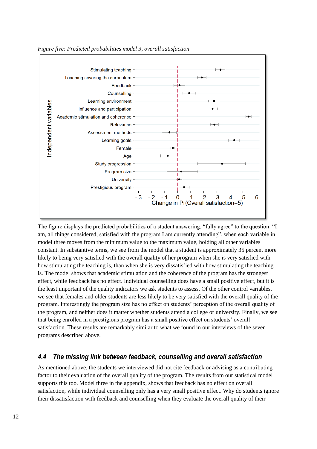

*Figure five: Predicted probabilities model 3, overall satisfaction*

The figure displays the predicted probabilities of a student answering, "fully agree" to the question: "I am, all things considered, satisfied with the program I am currently attending", when each variable in model three moves from the minimum value to the maximum value, holding all other variables constant. In substantive terms, we see from the model that a student is approximately 35 percent more likely to being very satisfied with the overall quality of her program when she is very satisfied with how stimulating the teaching is, than when she is very dissatisfied with how stimulating the teaching is. The model shows that academic stimulation and the coherence of the program has the strongest effect, while feedback has no effect. Individual counselling does have a small positive effect, but it is the least important of the quality indicators we ask students to assess. Of the other control variables, we see that females and older students are less likely to be very satisfied with the overall quality of the program. Interestingly the program size has no effect on students' perception of the overall quality of the program, and neither does it matter whether students attend a college or university. Finally, we see that being enrolled in a prestigious program has a small positive effect on students' overall satisfaction. These results are remarkably similar to what we found in our interviews of the seven programs described above.

## <span id="page-14-0"></span>*4.4 The missing link between feedback, counselling and overall satisfaction*

As mentioned above, the students we interviewed did not cite feedback or advising as a contributing factor to their evaluation of the overall quality of the program. The results from our statistical model supports this too. Model three in the appendix, shows that feedback has no effect on overall satisfaction, while individual counselling only has a very small positive effect. Why do students ignore their dissatisfaction with feedback and counselling when they evaluate the overall quality of their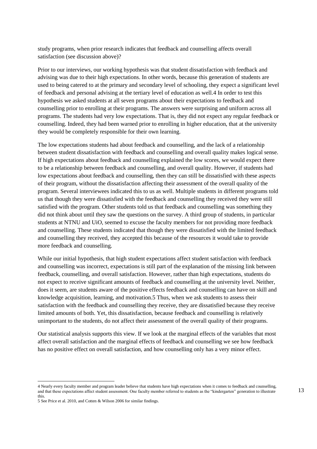study programs, when prior research indicates that feedback and counselling affects overall satisfaction (see discussion above)?

Prior to our interviews, our working hypothesis was that student dissatisfaction with feedback and advising was due to their high expectations. In other words, because this generation of students are used to being catered to at the primary and secondary level of schooling, they expect a significant level of feedback and personal advising at the tertiary level of education as well.4 In order to test this hypothesis we asked students at all seven programs about their expectations to feedback and counselling prior to enrolling at their programs. The answers were surprising and uniform across all programs. The students had very low expectations. That is, they did not expect any regular feedback or counselling. Indeed, they had been warned prior to enrolling in higher education, that at the university they would be completely responsible for their own learning.

The low expectations students had about feedback and counselling, and the lack of a relationship between student dissatisfaction with feedback and counselling and overall quality makes logical sense. If high expectations about feedback and counselling explained the low scores, we would expect there to be a relationship between feedback and counselling, and overall quality. However, if students had low expectations about feedback and counselling, then they can still be dissatisfied with these aspects of their program, without the dissatisfaction affecting their assessment of the overall quality of the program. Several interviewees indicated this to us as well. Multiple students in different programs told us that though they were dissatisfied with the feedback and counselling they received they were still satisfied with the program. Other students told us that feedback and counselling was something they did not think about until they saw the questions on the survey. A third group of students, in particular students at NTNU and UiO, seemed to excuse the faculty members for not providing more feedback and counselling. These students indicated that though they were dissatisfied with the limited feedback and counselling they received, they accepted this because of the resources it would take to provide more feedback and counselling.

While our initial hypothesis, that high student expectations affect student satisfaction with feedback and counselling was incorrect, expectations is still part of the explanation of the missing link between feedback, counselling, and overall satisfaction. However, rather than high expectations, students do not expect to receive significant amounts of feedback and counselling at the university level. Neither, does it seem, are students aware of the positive effects feedback and counselling can have on skill and knowledge acquisition, learning, and motivation.5 Thus, when we ask students to assess their satisfaction with the feedback and counselling they receive, they are dissatisfied because they receive limited amounts of both. Yet, this dissatisfaction, because feedback and counselling is relatively unimportant to the students, do not affect their assessment of the overall quality of their programs.

Our statistical analysis supports this view. If we look at the marginal effects of the variables that most affect overall satisfaction and the marginal effects of feedback and counselling we see how feedback has no positive effect on overall satisfaction, and how counselling only has a very minor effect.

l

<sup>4</sup> Nearly every faculty member and program leader believe that students have high expectations when it comes to feedback and counselling, and that these expectations affect student assessment. One faculty member referred to students as the "kindergarten" generation to illustrate this.

<sup>5</sup> See Price et al. 2010, and Cotten & Wilson 2006 for similar findings.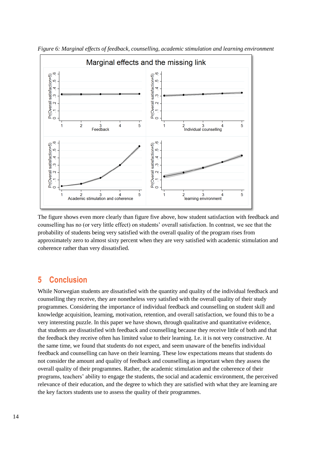

*Figure 6: Marginal effects of feedback, counselling, academic stimulation and learning environment*

The figure shows even more clearly than figure five above, how student satisfaction with feedback and counselling has no (or very little effect) on students' overall satisfaction. In contrast, we see that the probability of students being very satisfied with the overall quality of the program rises from approximately zero to almost sixty percent when they are very satisfied with academic stimulation and coherence rather than very dissatisfied.

## <span id="page-16-0"></span>**5 Conclusion**

While Norwegian students are dissatisfied with the quantity and quality of the individual feedback and counselling they receive, they are nonetheless very satisfied with the overall quality of their study programmes. Considering the importance of individual feedback and counselling on student skill and knowledge acquisition, learning, motivation, retention, and overall satisfaction, we found this to be a very interesting puzzle. In this paper we have shown, through qualitative and quantitative evidence, that students are dissatisfied with feedback and counselling because they receive little of both and that the feedback they receive often has limited value to their learning. I.e. it is not very constructive. At the same time, we found that students do not expect, and seem unaware of the benefits individual feedback and counselling can have on their learning. These low expectations means that students do not consider the amount and quality of feedback and counselling as important when they assess the overall quality of their programmes. Rather, the academic stimulation and the coherence of their programs, teachers' ability to engage the students, the social and academic environment, the perceived relevance of their education, and the degree to which they are satisfied with what they are learning are the key factors students use to assess the quality of their programmes.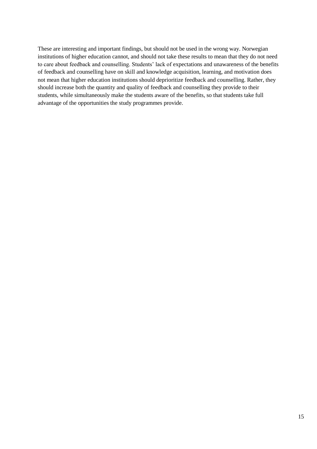<span id="page-17-0"></span>These are interesting and important findings, but should not be used in the wrong way. Norwegian institutions of higher education cannot, and should not take these results to mean that they do not need to care about feedback and counselling. Students' lack of expectations and unawareness of the benefits of feedback and counselling have on skill and knowledge acquisition, learning, and motivation does not mean that higher education institutions should deprioritize feedback and counselling. Rather, they should increase both the quantity and quality of feedback and counselling they provide to their students, while simultaneously make the students aware of the benefits, so that students take full advantage of the opportunities the study programmes provide.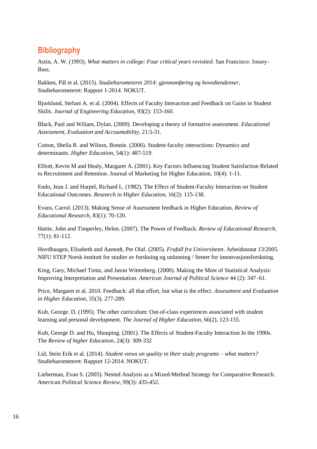# **Bibliography**

Astin, A. W. (1993). *What matters in college: Four critical years revisited*. San Francisco: Jossey-Bass.

Bakken, Pål et al. (2015). *Studiebarometeret 2014: gjennomføring og hovedtendenser*, Studiebarometeret: Rapport 1-2014. NOKUT.

Bjorklund, Stefani A. et al. (2004). Effects of Faculty Interaction and Feedback on Gains in Student Skills. *Journal of Engineering Education*, 93(2): 153-160.

Black, Paul and Wiliam, Dylan. (2009). Developing a theory of formative assessment*. Educational Assessment, Evaluation and Accountability*, 21:5-31.

Cotton, Sheila R. and Wilson, Bonnie. (2006). Student-faculty interactions: Dynamics and determinants. *Higher Education*, 54(1): 487-519.

Elliott, Kevin M and Healy, Margaret A. (2001). Key Factors Influencing Student Satisfaction Related to Recruitment and Retention. Journal of Marketing for Higher Education, 10(4): 1-11.

Endo, Jean J. and Harpel, Richard L. (1982). The Effect of Student-Faculty Interaction on Student Educational Outcomes. *Research in Higher Education*, 16(2): 115-138.

Evans, Carrol. (2013). Making Sense of Assessment feedback in Higher Education. *Review of Educational Research*, 83(1): 70-120.

Hattie, John and Timperley, Helen. (2007). The Power of Feedback. *Review of Educational Research*, 77(1): 81-112.

Hovdhaugen, Elisabeth and Aamodt, Per Olaf. (2005). *Frafall fra Universitetet*. Arbeidsnotat 13/2005. NIFU STEP Norsk institutt for studier av forskning og utdanning / Senter for innonvasjonsforskning.

King, Gary, Michael Tomz, and Jason Wittenberg. (2000). Making the Most of Statistical Analysis: Improving Interpretation and Presentation. *American Journal of Political Science* 44 (2): 347–61.

Price, Margaret et al. 2010. Feedback: all that effort, but what is the effect. *Assessment and Evaluation in Higher Education*, 35(3). 277-289.

Kuh, George. D. (1995). The other curriculum: Out-of-class experiences associated with student learning and personal development. *The Journal of Higher Education*, 66(2), 123-155.

Kuh, George D. and Hu, Shouping. (2001). The Effects of Student-Faculty Interaction In the 1990s. The *Review of higher Education*, 24(3): 309-332

Lid, Stein Erik et al. (2014). *Student views on quality in their study programs – what matters?* Studiebarometeret: Rapport 12-2014. NOKUT.

Lieberman, Evan S. (2005). Nested Analysis as a Mixed-Method Strategy for Comparative Research. *American Political Science Review*, 99(3): 435-452.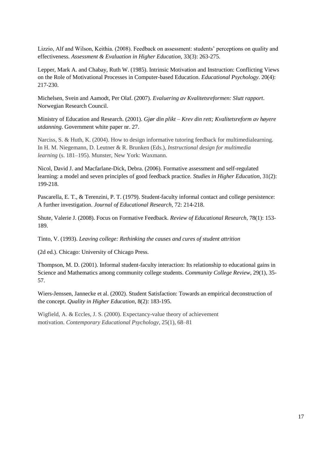Lizzio, Alf and Wilson, Keithia. (2008). Feedback on assessment: students' perceptions on quality and effectiveness. *Assessment & Evaluation in Higher Education*, 33(3): 263-275.

Lepper, Mark A. and Chabay, Ruth W. (1985). Intrinsic Motivation and Instruction: Conflicting Views on the Role of Motivational Processes in Computer-based Education. *Educational Psychology*. 20(4): 217-230.

Michelsen, Svein and Aamodt, Per Olaf. (2007). *Evaluering av Kvalitetsreformen: Slutt rapport*. Norwegian Research Council.

Ministry of Education and Research. (2001). *Gjør din plikt – Krev din rett; Kvalitetsreform av høyere utdanning*. Government white paper nr. 27.

Narciss, S. & Huth, K. (2004). How to design informative tutoring feedback for multimedialearning. In H. M. Niegemann, D. Leutner & R. Brunken (Eds.), *Instructional design for multimedia learning* (s. 181–195). Munster, New York: Waxmann.

Nicol, David J. and Macfarlane-Dick, Debra. (2006). Formative assessment and self-regulated learning: a model and seven principles of good feedback practice. *Studies in Higher Education*, 31(2): 199-218.

Pascarella, E. T., & Terenzini, P. T. (1979). Student-faculty informal contact and college persistence: A further investigation. *Journal of Educational Research*, 72: 214-218.

Shute, Valerie J. (2008). Focus on Formative Feedback. *Review of Educational Research*, 78(1): 153- 189.

Tinto, V. (1993). *Leaving college: Rethinking the causes and cures of student attrition*

(2d ed.). Chicago: University of Chicago Press.

Thompson, M. D. (2001). Informal student-faculty interaction: Its relationship to educational gains in Science and Mathematics among community college students. *Community College Review*, 29(1), 35- 57.

Wiers-Jenssen, Jannecke et al. (2002). Student Satisfaction: Towards an empirical deconstruction of the concept. *Quality in Higher Education*, 8(2): 183-195.

<span id="page-19-0"></span>Wigfield, A. & Eccles, J. S. (2000). Expectancy-value theory of achievement motivation. *Contemporary Educational Psychology*, 25(1), 68–81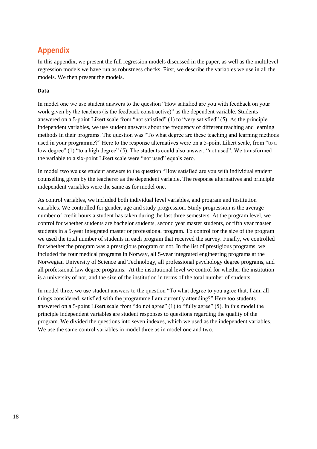# **Appendix**

In this appendix, we present the full regression models discussed in the paper, as well as the multilevel regression models we have run as robustness checks. First, we describe the variables we use in all the models. We then present the models.

#### **Data**

In model one we use student answers to the question "How satisfied are you with feedback on your work given by the teachers (is the feedback constructive)" as the dependent variable. Students answered on a 5-point Likert scale from "not satisfied" (1) to "very satisfied" (5). As the principle independent variables, we use student answers about the frequency of different teaching and learning methods in their programs. The question was "To what degree are these teaching and learning methods used in your programme?" Here to the response alternatives were on a 5-point Likert scale, from "to a low degree" (1) "to a high degree" (5). The students could also answer, "not used". We transformed the variable to a six-point Likert scale were "not used" equals zero.

In model two we use student answers to the question "How satisfied are you with individual student counselling given by the teachers» as the dependent variable. The response alternatives and principle independent variables were the same as for model one.

As control variables, we included both individual level variables, and program and institution variables. We controlled for gender, age and study progression. Study progression is the average number of credit hours a student has taken during the last three semesters. At the program level, we control for whether students are bachelor students, second year master students, or fifth year master students in a 5-year integrated master or professional program. To control for the size of the program we used the total number of students in each program that received the survey. Finally, we controlled for whether the program was a prestigious program or not. In the list of prestigious programs, we included the four medical programs in Norway, all 5-year integrated engineering programs at the Norwegian University of Science and Technology, all professional psychology degree programs, and all professional law degree programs. At the institutional level we control for whether the institution is a university of not, and the size of the institution in terms of the total number of students.

In model three, we use student answers to the question "To what degree to you agree that, I am, all things considered, satisfied with the programme I am currently attending?" Here too students answered on a 5-point Likert scale from "do not agree" (1) to "fully agree" (5). In this model the principle independent variables are student responses to questions regarding the quality of the program. We divided the questions into seven indexes, which we used as the independent variables. We use the same control variables in model three as in model one and two.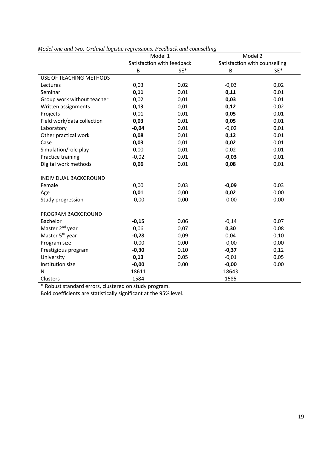|                                                      | Model 1                    | $\frac{1}{2}$ | Model 2                       |      |  |  |
|------------------------------------------------------|----------------------------|---------------|-------------------------------|------|--|--|
|                                                      | Satisfaction with feedback |               | Satisfaction with counselling |      |  |  |
|                                                      | B                          | SE*           | B                             | SE*  |  |  |
| USE OF TEACHING METHODS                              |                            |               |                               |      |  |  |
| Lectures                                             | 0,03                       | 0,02          | $-0,03$                       | 0,02 |  |  |
| Seminar                                              | 0,11                       | 0,01          | 0,11                          | 0,01 |  |  |
| Group work without teacher                           | 0,02                       | 0,01          | 0,03                          | 0,01 |  |  |
| Written assignments                                  | 0,13                       | 0,01          | 0,12                          | 0,02 |  |  |
| Projects                                             | 0,01                       | 0,01          | 0,05                          | 0,01 |  |  |
| Field work/data collection                           | 0,03                       | 0,01          | 0,05                          | 0,01 |  |  |
| Laboratory                                           | $-0,04$                    | 0,01          | $-0,02$                       | 0,01 |  |  |
| Other practical work                                 | 0,08                       | 0,01          | 0,12                          | 0,01 |  |  |
| Case                                                 | 0,03                       | 0,01          | 0,02                          | 0,01 |  |  |
| Simulation/role play                                 | 0,00                       | 0,01          | 0,02                          | 0,01 |  |  |
| Practice training                                    | $-0,02$                    | 0,01          | $-0,03$                       | 0,01 |  |  |
| Digital work methods                                 | 0,06                       | 0,01          | 0,08                          | 0,01 |  |  |
| <b>INDIVIDUAL BACKGROUND</b>                         |                            |               |                               |      |  |  |
| Female                                               | 0,00                       | 0,03          | $-0,09$                       | 0,03 |  |  |
| Age                                                  | 0,01                       | 0,00          | 0,02                          | 0,00 |  |  |
| Study progression                                    | $-0,00$                    | 0,00          | $-0,00$                       | 0,00 |  |  |
| PROGRAM BACKGROUND                                   |                            |               |                               |      |  |  |
| Bachelor                                             | $-0,15$                    | 0,06          | $-0,14$                       | 0,07 |  |  |
| Master 2 <sup>nd</sup> year                          | 0,06                       | 0,07          | 0,30                          | 0,08 |  |  |
| Master 5 <sup>th</sup> year                          | $-0,28$                    | 0,09          | 0,04                          | 0,10 |  |  |
| Program size                                         | $-0,00$                    | 0,00          | $-0,00$                       | 0,00 |  |  |
| Prestigious program                                  | $-0,30$                    | 0,10          | $-0,37$                       | 0,12 |  |  |
| University                                           | 0,13                       | 0,05          | $-0,01$                       | 0,05 |  |  |
| Institution size                                     | $-0,00$                    | 0,00          | $-0,00$                       | 0,00 |  |  |
| N                                                    | 18611                      |               | 18643                         |      |  |  |
| Clusters                                             | 1584                       |               | 1585                          |      |  |  |
| * Robust standard errors, clustered on study program |                            |               |                               |      |  |  |

#### *Model one and two: Ordinal logistic regressions. Feedback and counselling*

Robust standard errors, clustered on study program.

Bold coefficients are statistically significant at the 95% level.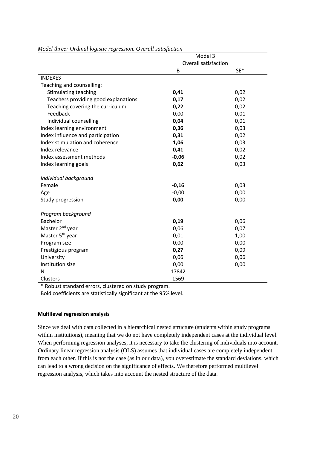|                                                                   | Model 3                     |      |
|-------------------------------------------------------------------|-----------------------------|------|
|                                                                   | <b>Overall satisfaction</b> |      |
|                                                                   | B                           | SE*  |
| <b>INDEXES</b>                                                    |                             |      |
| Teaching and counselling:                                         |                             |      |
| <b>Stimulating teaching</b>                                       | 0,41                        | 0,02 |
| Teachers providing good explanations                              | 0,17                        | 0,02 |
| Teaching covering the curriculum                                  | 0,22                        | 0,02 |
| Feedback                                                          | 0,00                        | 0,01 |
| Individual counselling                                            | 0,04                        | 0,01 |
| Index learning environment                                        | 0,36                        | 0,03 |
| Index influence and participation                                 | 0,31                        | 0,02 |
| Index stimulation and coherence                                   | 1,06                        | 0,03 |
| Index relevance                                                   | 0,41                        | 0,02 |
| Index assessment methods                                          | $-0,06$                     | 0,02 |
| Index learning goals                                              | 0,62                        | 0,03 |
| Individual background                                             |                             |      |
| Female                                                            | $-0,16$                     | 0,03 |
| Age                                                               | $-0,00$                     | 0,00 |
| Study progression                                                 | 0,00                        | 0,00 |
| Program background                                                |                             |      |
| <b>Bachelor</b>                                                   | 0,19                        | 0,06 |
| Master 2 <sup>nd</sup> year                                       | 0,06                        | 0,07 |
| Master 5 <sup>th</sup> year                                       | 0,01                        | 1,00 |
| Program size                                                      | 0,00                        | 0,00 |
| Prestigious program                                               | 0,27                        | 0,09 |
| University                                                        | 0,06                        | 0,06 |
| Institution size                                                  | 0,00                        | 0,00 |
| N                                                                 | 17842                       |      |
| Clusters                                                          | 1569                        |      |
| * Robust standard errors, clustered on study program.             |                             |      |
| Bold coefficients are statistically significant at the 95% level. |                             |      |

*Model three: Ordinal logistic regression. Overall satisfaction*

#### **Multilevel regression analysis**

Since we deal with data collected in a hierarchical nested structure (students within study programs within institutions), meaning that we do not have completely independent cases at the individual level. When performing regression analyses, it is necessary to take the clustering of individuals into account. Ordinary linear regression analysis (OLS) assumes that individual cases are completely independent from each other. If this is not the case (as in our data), you overestimate the standard deviations, which can lead to a wrong decision on the significance of effects. We therefore performed multilevel regression analysis, which takes into account the nested structure of the data.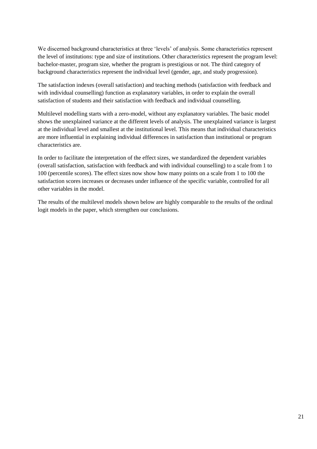We discerned background characteristics at three 'levels' of analysis. Some characteristics represent the level of institutions: type and size of institutions. Other characteristics represent the program level: bachelor-master, program size, whether the program is prestigious or not. The third category of background characteristics represent the individual level (gender, age, and study progression).

The satisfaction indexes (overall satisfaction) and teaching methods (satisfaction with feedback and with individual counselling) function as explanatory variables, in order to explain the overall satisfaction of students and their satisfaction with feedback and individual counselling.

Multilevel modelling starts with a zero-model, without any explanatory variables. The basic model shows the unexplained variance at the different levels of analysis. The unexplained variance is largest at the individual level and smallest at the institutional level. This means that individual characteristics are more influential in explaining individual differences in satisfaction than institutional or program characteristics are.

In order to facilitate the interpretation of the effect sizes, we standardized the dependent variables (overall satisfaction, satisfaction with feedback and with individual counselling) to a scale from 1 to 100 (percentile scores). The effect sizes now show how many points on a scale from 1 to 100 the satisfaction scores increases or decreases under influence of the specific variable, controlled for all other variables in the model.

The results of the multilevel models shown below are highly comparable to the results of the ordinal logit models in the paper, which strengthen our conclusions.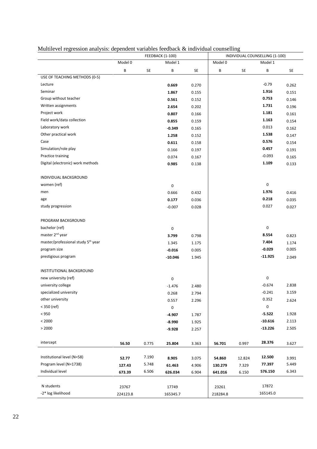|                                                |          |       | <b>FEEDBACK (1-100)</b> |       |          |        | INDIVIDUAL COUNSELLING (1-100) |       |
|------------------------------------------------|----------|-------|-------------------------|-------|----------|--------|--------------------------------|-------|
|                                                | Model 0  |       | Model 1                 |       | Model 0  |        | Model 1                        |       |
|                                                | В        | SE    | В                       | SE    | В        | SE     | В                              | SE    |
| USE OF TEACHING METHODS (0-5)                  |          |       |                         |       |          |        |                                |       |
| Lecture                                        |          |       | 0.669                   | 0.270 |          |        | $-0.79$                        | 0.262 |
| Seminar                                        |          |       | 1.867                   | 0.155 |          |        | 1.916                          | 0.151 |
| Group without teacher                          |          |       | 0.561                   | 0.152 |          |        | 0.753                          | 0.146 |
| Written assignments                            |          |       | 2.654                   | 0.202 |          |        | 1.731                          | 0.196 |
| Project work                                   |          |       | 0.807                   | 0.166 |          |        | 1.181                          | 0.161 |
| Field work/data collection                     |          |       | 0.855                   | 0.159 |          |        | 1.163                          | 0.154 |
| Laboratory work                                |          |       | $-0.349$                | 0.165 |          |        | 0.013                          | 0.162 |
| Other practical work                           |          |       | 1.258                   | 0.152 |          |        | 1.538                          | 0.147 |
| Case                                           |          |       | 0.611                   | 0.158 |          |        | 0.576                          | 0.154 |
| Simulation/role play                           |          |       | 0.166                   | 0.197 |          |        | 0.457                          | 0.191 |
| Practice training                              |          |       | 0.074                   | 0.167 |          |        | $-0.093$                       | 0.165 |
| Digital (electronic) work methods              |          |       | 0.985                   | 0.138 |          |        | 1.109                          | 0.133 |
|                                                |          |       |                         |       |          |        |                                |       |
| INDIVIDUAL BACKGROUND                          |          |       |                         |       |          |        |                                |       |
| women (ref)                                    |          |       | 0                       |       |          |        | 0                              |       |
| men                                            |          |       | 0.666                   | 0.432 |          |        | 1.976                          | 0.416 |
| age                                            |          |       | 0.177                   | 0.036 |          |        | 0.218                          | 0.035 |
| study progression                              |          |       | $-0.007$                | 0.028 |          |        | 0.027                          | 0.027 |
|                                                |          |       |                         |       |          |        |                                |       |
| PROGRAM BACKGROUND                             |          |       |                         |       |          |        |                                |       |
| bachelor (ref)                                 |          |       | 0                       |       |          |        | 0                              |       |
| master 2 <sup>nd</sup> year                    |          |       | 3.799                   | 0.798 |          |        | 8.554                          | 0.823 |
| master/professional study 5 <sup>th</sup> year |          |       | 1.345                   | 1.175 |          |        | 7.404                          | 1.174 |
| program size                                   |          |       | $-0.016$                | 0.005 |          |        | $-0.029$                       | 0.005 |
| prestigious program                            |          |       | $-10.046$               | 1.945 |          |        | $-11.925$                      | 2.049 |
|                                                |          |       |                         |       |          |        |                                |       |
| INSTITUTIONAL BACKGROUND                       |          |       |                         |       |          |        |                                |       |
| new university (ref)                           |          |       | 0                       |       |          |        | 0                              |       |
| university college                             |          |       | $-1.476$                | 2.480 |          |        | $-0.674$                       | 2.838 |
| specialized university                         |          |       | 0.268                   | 2.794 |          |        | $-0.241$                       | 3.159 |
| other university                               |          |       | 0.557                   | 2.296 |          |        | 0.352                          | 2.624 |
| $<$ 350 (ref)                                  |          |       | 0                       |       |          |        | $\pmb{0}$                      |       |
| < 950                                          |          |       | $-4.907$                | 1.787 |          |        | $-5.522$                       | 1.928 |
| < 2000                                         |          |       | $-8.990$                | 1.925 |          |        | $-10.616$                      | 2.113 |
| > 2000                                         |          |       | $-9.928$                | 2.257 |          |        | $-13.226$                      | 2.505 |
|                                                |          |       |                         |       |          |        |                                |       |
| intercept                                      | 56.50    | 0.775 | 25.804                  | 3.363 | 56.701   | 0.997  | 28.376                         | 3.627 |
| Institutional level (N=58)                     | 52.77    | 7.190 | 8.905                   | 3.075 | 54.860   | 12.824 | 12.500                         | 3.991 |
| Program level (N=1738)                         | 127.43   | 5.748 | 61.463                  | 4.906 | 130.279  | 7.329  | 77.397                         | 5.449 |
| Individual level                               | 673.39   | 6.506 | 626.034                 | 6.904 | 641.016  | 6.150  | 576.150                        | 6.343 |
|                                                |          |       |                         |       |          |        |                                |       |
| N students                                     | 23767    |       | 17749                   |       | 23261    |        | 17872                          |       |
| -2* log likelihood                             | 224123.8 |       | 165345.7                |       | 218284.8 |        | 165145.0                       |       |

#### Multilevel regression analysis: dependent variables feedback & individual counselling